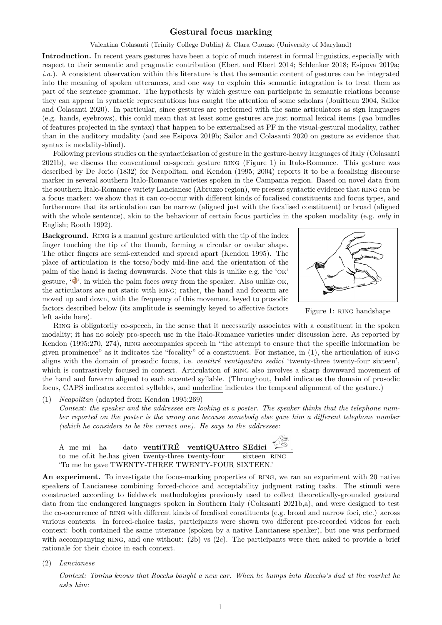Valentina Colasanti (Trinity College Dublin) & Clara Cuonzo (University of Maryland)

**Introduction.** In recent years gestures have been a topic of much interest in formal linguistics, especially with respect to their semantic and pragmatic contribution (Ebert and Ebert 2014; Schlenker 2018; Esipova 2019a; *i.a.*). A consistent observation within this literature is that the semantic content of gestures can be integrated into the meaning of spoken utterances, and one way to explain this semantic integration is to treat them as part of the sentence grammar. The hypothesis by which gesture can participate in semantic relations because they can appear in syntactic representations has caugh[t the attention of some](#page-1-0) [scholars \(Jouitt](#page-1-1)[eau 2004,](#page-1-2) [Sailor](#page-1-2) and Colasanti 2020). In particular, since gestures are performed with the same articulators as sign languages (e.g. hands, eyebrows), this could mean that at least some gestures are just normal lexical items (*qua* bundles of features projected in the syntax) that happen to be externalised at PF in the visual-gestural modality, rather than in the auditory modality (and see Esipova 2019b; Sailor and Colasanti 2020 on gesture as evidenc[e that](#page-1-3) [syntax is modality-b](#page-1-3)lind).

Following previous studies on the syntacticisation of gesture in the gesture-heavy languages of Italy (Colasanti 2021b), we discuss the conventional co-speech gesture ring (Figure 1) in Italo-Romance. This gesture was described by De Jorio (1832) for Neapo[litan, and Ken](#page-1-4)don (1995; [2004\) reports it](#page-1-3) to be a focalising discourse marker in several southern Italo-Romance varieties spoken in the Campania region. Based on novel data from the southern Italo-Romance variety Lancianese (Abruzzo region), we present syntactic evidence that ring [can be](#page-1-5) [a focu](#page-1-5)s marker: we show that it can co-occur with different kinds of focalised constituents and focus types, and furthermore that its art[icula](#page-1-6)tion can be narrow (aligned just with [the f](#page-1-7)ocalised constituent) or broad (aligned with the whole sentence), akin to the behaviour of certain focus particles in the spoken modality (e.g. *only* in English; Rooth 1992).

**Background.** Ring is a manual gesture articulated with the tip of the index finger touching the tip of the thumb, forming a circular or ovular shape. The other fingers are semi-extended and spread apart (Kendon 1995). The place of [articulation](#page-1-8) is the torso/body mid-line and the orientation of the palm of the hand is facing downwards. Note that this is unlike e.g. the 'ok' gesture,  $\langle \bullet \rangle$ , in which the palm faces away from the speaker. Also unlike OK, the articulators are not static with RING; rather, the hand and forearm are moved up and down, with the frequency of this movement keyed to prosodic factors described below (its amplitude is seemingly keyed to affective factors left aside here).



<span id="page-0-0"></span>Figure 1: RING handshape

Ring is obligatorily co-speech, in the sense that it necessarily associates with a constituent in the spoken modality; it has no solely pro-speech use in the Italo-Romance varieties under discussion here. As reported by Kendon (1995:270, 274), RING accompanies speech in "the attempt to ensure that the specific information be given prominence" as it indicates the "focality" of a constituent. For instance, in (1), the articulation of ring aligns with the domain of prosodic focus, i.e. *ventitré ventiquattro sedici* 'twenty-three twenty-four sixteen', which is contrastively focused in context. Articulation of RING also involves a sharp downward movement of the hand and forearm aligned to each accented syllable. (Throughout, **bold** indicates the domain of prosodic focus, CAPS indicates accented syllables, and underline indicates the temporal ali[gn](#page-0-0)ment of the gesture.)

(1) *Neapolitan* (adapted from Kendon 1995:269) *Context: the speaker and the addressee are looking at a poster. The speaker thinks that the telephone number reported on the poster is the wrong one because somebody else gave him a different telephone number (which he considers to be the correct one). He says to the addressee:*



An experiment. To investigate the focus-marking properties of RING, we ran an experiment with 20 native speakers of Lancianese combining forced-choice and acceptability judgment rating tasks. The stimuli were constructed according to fieldwork methodologies previously used to collect theoretically-grounded gestural data from the endangered languages spoken in Southern Italy (Colasanti 2021b,a), and were designed to test the co-occurrence of ring with different kinds of focalised constituents (e.g. broad and narrow foci, etc.) across various contexts. In forced-choice tasks, participants were shown two different pre-recorded videos for each context: both contained the same utterance (spoken by a native Lancianese speaker), but one was performed with accompanying RING, and one without: (2b) vs (2c). The [participants were](#page-1-5) [t](#page-1-9)hen asked to provide a brief rationale for their choice in each context.

(2) *Lancianese*

*Context: Tonin*@ *knows that Rocch*@ *boug[ht](#page-0-0) a ne[w ca](#page-0-0)r. When he bumps into Rocch*@*'s dad at the market he asks him:*